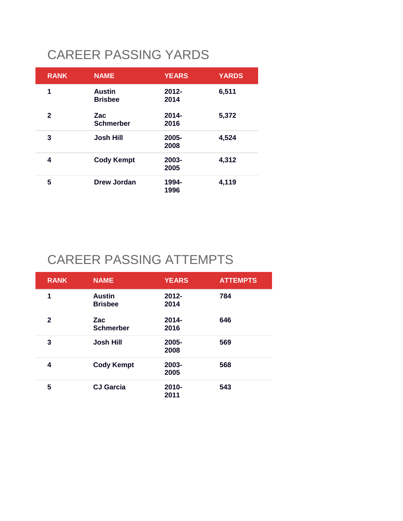# CAREER PASSING YARDS

| <b>RANK</b>  | <b>NAME</b>                     | <b>YEARS</b>     | <b>YARDS</b> |
|--------------|---------------------------------|------------------|--------------|
| 1            | <b>Austin</b><br><b>Brisbee</b> | $2012 -$<br>2014 | 6,511        |
| $\mathbf{2}$ | Zac<br><b>Schmerber</b>         | $2014 -$<br>2016 | 5,372        |
| 3            | <b>Josh Hill</b>                | 2005-<br>2008    | 4,524        |
| 4            | <b>Cody Kempt</b>               | 2003-<br>2005    | 4,312        |
| 5            | Drew Jordan                     | 1994-<br>1996    | 4,119        |

# CAREER PASSING ATTEMPTS

| <b>RANK</b>  | <b>NAME</b>                     | <b>YEARS</b>     | <b>ATTEMPTS</b> |
|--------------|---------------------------------|------------------|-----------------|
| 1            | <b>Austin</b><br><b>Brisbee</b> | $2012 -$<br>2014 | 784             |
| $\mathbf{2}$ | Zac<br><b>Schmerber</b>         | $2014 -$<br>2016 | 646             |
| 3            | <b>Josh Hill</b>                | 2005-<br>2008    | 569             |
| 4            | <b>Cody Kempt</b>               | 2003-<br>2005    | 568             |
| 5            | <b>CJ Garcia</b>                | 2010-<br>2011    | 543             |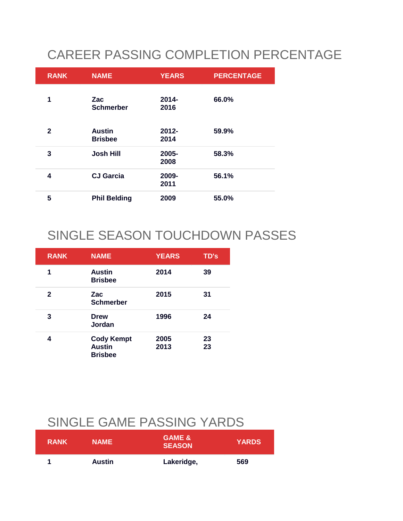# CAREER PASSING COMPLETION PERCENTAGE

| <b>RANK</b>  | <b>NAME</b>                     | <b>YEARS</b>     | <b>PERCENTAGE</b> |
|--------------|---------------------------------|------------------|-------------------|
| 1            | Zac<br><b>Schmerber</b>         | $2014 -$<br>2016 | 66.0%             |
| $\mathbf{2}$ | <b>Austin</b><br><b>Brisbee</b> | $2012 -$<br>2014 | 59.9%             |
| 3            | <b>Josh Hill</b>                | 2005-<br>2008    | 58.3%             |
| 4            | <b>CJ Garcia</b>                | 2009-<br>2011    | 56.1%             |
| 5            | <b>Phil Belding</b>             | 2009             | 55.0%             |

## SINGLE SEASON TOUCHDOWN PASSES

| <b>RANK</b> | <b>NAME</b>                                          | <b>YEARS</b> | TD's     |
|-------------|------------------------------------------------------|--------------|----------|
| 1           | <b>Austin</b><br><b>Brisbee</b>                      | 2014         | 39       |
| 2           | Zac<br><b>Schmerber</b>                              | 2015         | 31       |
| 3           | <b>Drew</b><br>Jordan                                | 1996         | 24       |
| 4           | <b>Cody Kempt</b><br><b>Austin</b><br><b>Brisbee</b> | 2005<br>2013 | 23<br>23 |

#### SINGLE GAME PASSING YARDS

| <b>RANK</b> | <b>NAME</b>   | <b>GAME &amp;</b><br><b>SEASON</b> | <b>YARDS</b> |
|-------------|---------------|------------------------------------|--------------|
| и           | <b>Austin</b> | Lakeridge,                         | 569          |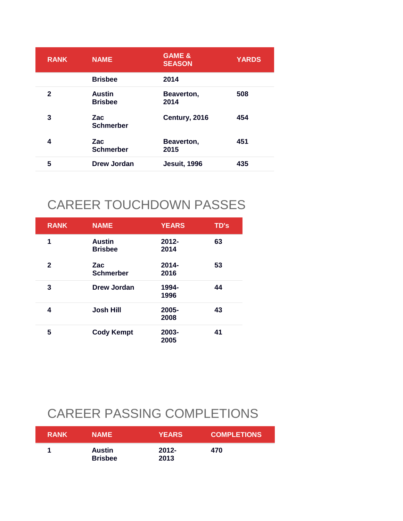| <b>RANK</b>  | <b>NAME</b>                     | <b>GAME &amp;</b><br><b>SEASON</b> | <b>YARDS</b> |
|--------------|---------------------------------|------------------------------------|--------------|
|              | <b>Brisbee</b>                  | 2014                               |              |
| $\mathbf{2}$ | <b>Austin</b><br><b>Brisbee</b> | Beaverton,<br>2014                 | 508          |
| 3            | <b>Zac</b><br><b>Schmerber</b>  | Century, 2016                      | 454          |
| 4            | Zac<br><b>Schmerber</b>         | Beaverton,<br>2015                 | 451          |
| 5            | Drew Jordan                     | <b>Jesuit, 1996</b>                | 435          |

#### CAREER TOUCHDOWN PASSES

| <b>RANK</b>  | <b>NAME</b>                     | <b>YEARS</b>     | <b>TD's</b> |
|--------------|---------------------------------|------------------|-------------|
| 1            | <b>Austin</b><br><b>Brisbee</b> | $2012 -$<br>2014 | 63          |
| $\mathbf{2}$ | Zac<br><b>Schmerber</b>         | $2014 -$<br>2016 | 53          |
| 3            | Drew Jordan                     | 1994-<br>1996    | 44          |
| 4            | <b>Josh Hill</b>                | 2005-<br>2008    | 43          |
| 5            | <b>Cody Kempt</b>               | 2003-<br>2005    | 41          |

# CAREER PASSING COMPLETIONS

| <b>RANK</b> | <b>NAME</b>              | <b>YEARS</b>     | <b>COMPLETIONS</b> |
|-------------|--------------------------|------------------|--------------------|
|             | Austin<br><b>Brisbee</b> | $2012 -$<br>2013 | 470                |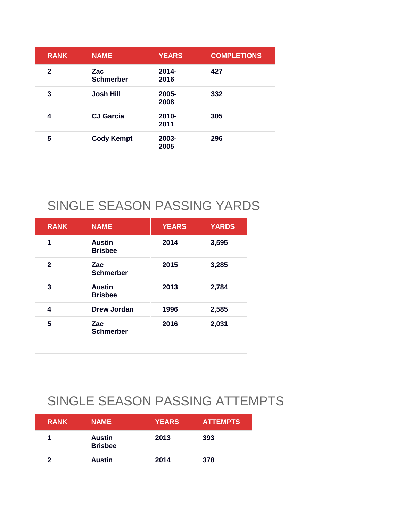| <b>RANK</b>  | <b>NAME</b>             | <b>YEARS</b>     | <b>COMPLETIONS</b> |
|--------------|-------------------------|------------------|--------------------|
| $\mathbf{2}$ | Zac<br><b>Schmerber</b> | $2014 -$<br>2016 | 427                |
| 3            | <b>Josh Hill</b>        | 2005-<br>2008    | 332                |
| 4            | <b>CJ</b> Garcia        | 2010-<br>2011    | 305                |
| 5            | <b>Cody Kempt</b>       | 2003-<br>2005    | 296                |
|              |                         |                  |                    |

## SINGLE SEASON PASSING YARDS

| <b>RANK</b>  | <b>NAME</b>                     | <b>YEARS</b> | <b>YARDS</b> |
|--------------|---------------------------------|--------------|--------------|
| 1            | <b>Austin</b><br><b>Brisbee</b> | 2014         | 3,595        |
| $\mathbf{2}$ | Zac<br><b>Schmerber</b>         | 2015         | 3,285        |
| 3            | <b>Austin</b><br><b>Brisbee</b> | 2013         | 2,784        |
| 4            | Drew Jordan                     | 1996         | 2,585        |
| 5            | Zac<br><b>Schmerber</b>         | 2016         | 2,031        |

## SINGLE SEASON PASSING ATTEMPTS

| <b>RANK</b> | <b>NAME</b>                     | <b>YEARS</b> | <b>ATTEMPTS</b> |
|-------------|---------------------------------|--------------|-----------------|
|             | <b>Austin</b><br><b>Brisbee</b> | 2013         | 393             |
| 2           | <b>Austin</b>                   | 2014         | 378             |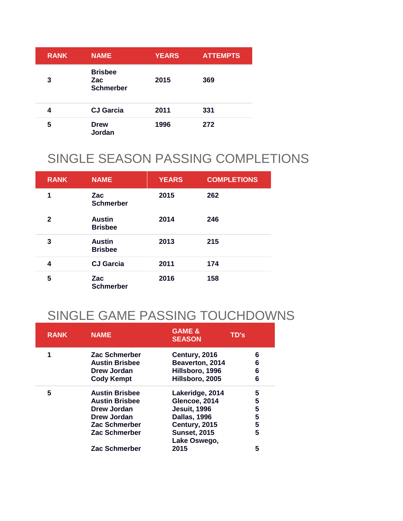| <b>RANK</b> | <b>NAME</b>                                      | <b>YEARS</b> | <b>ATTEMPTS</b> |
|-------------|--------------------------------------------------|--------------|-----------------|
| 3           | <b>Brisbee</b><br><b>Zac</b><br><b>Schmerber</b> | 2015         | 369             |
| 4           | <b>CJ Garcia</b>                                 | 2011         | 331             |
| 5           | <b>Drew</b><br>Jordan                            | 1996         | 272             |

## SINGLE SEASON PASSING COMPLETIONS

| <b>RANK</b>  | <b>NAME</b>                     | <b>YEARS</b> | <b>COMPLETIONS</b> |
|--------------|---------------------------------|--------------|--------------------|
| 1            | <b>Zac</b><br><b>Schmerber</b>  | 2015         | 262                |
| $\mathbf{2}$ | <b>Austin</b><br><b>Brisbee</b> | 2014         | 246                |
| 3            | <b>Austin</b><br><b>Brisbee</b> | 2013         | 215                |
| 4            | <b>CJ Garcia</b>                | 2011         | 174                |
| 5            | <b>Zac</b><br><b>Schmerber</b>  | 2016         | 158                |

## SINGLE GAME PASSING TOUCHDOWNS

| <b>RANK</b> | <b>NAME</b>           | <b>GAME &amp;</b><br><b>SEASON</b>  | TD's |
|-------------|-----------------------|-------------------------------------|------|
| 1           | Zac Schmerber         | Century, 2016                       | 6    |
|             | <b>Austin Brisbee</b> | Beaverton, 2014                     | 6    |
|             | Drew Jordan           | Hillsboro, 1996                     | 6    |
|             | <b>Cody Kempt</b>     | Hillsboro, 2005                     | 6    |
| 5           | <b>Austin Brisbee</b> | Lakeridge, 2014                     | 5    |
|             | <b>Austin Brisbee</b> | Glencoe, 2014                       | 5    |
|             | Drew Jordan           | <b>Jesuit, 1996</b>                 | 5    |
|             | Drew Jordan           | <b>Dallas, 1996</b>                 | 5    |
|             | Zac Schmerber         | Century, 2015                       | 5    |
|             | Zac Schmerber         | <b>Sunset, 2015</b><br>Lake Oswego, | 5    |
|             | Zac Schmerber         | 2015                                | 5    |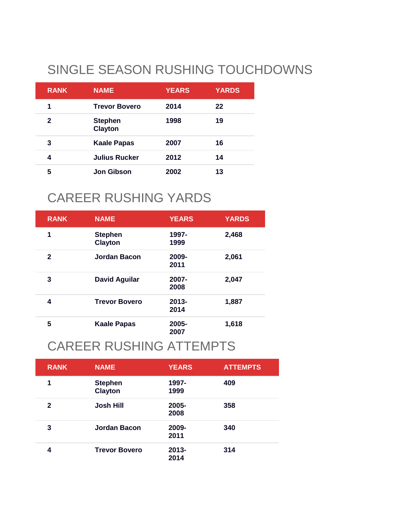# SINGLE SEASON RUSHING TOUCHDOWNS

| <b>RANK</b> | <b>NAME</b>                      | <b>YEARS</b> | <b>YARDS</b> |
|-------------|----------------------------------|--------------|--------------|
| 1           | <b>Trevor Bovero</b>             | 2014         | 22           |
| 2           | <b>Stephen</b><br><b>Clayton</b> | 1998         | 19           |
| 3           | <b>Kaale Papas</b>               | 2007         | 16           |
| 4           | Julius Rucker                    | 2012         | 14           |
| 5           | <b>Jon Gibson</b>                | 2002         | 13           |

## CAREER RUSHING YARDS

| <b>RANK</b>  | <b>NAME</b>                      | <b>YEARS</b>     | <b>YARDS</b> |
|--------------|----------------------------------|------------------|--------------|
| 1            | <b>Stephen</b><br><b>Clayton</b> | 1997-<br>1999    | 2,468        |
| $\mathbf{2}$ | <b>Jordan Bacon</b>              | 2009-<br>2011    | 2,061        |
| 3            | <b>David Aguilar</b>             | 2007-<br>2008    | 2,047        |
| 4            | <b>Trevor Bovero</b>             | $2013 -$<br>2014 | 1,887        |
| 5            | <b>Kaale Papas</b>               | 2005-<br>2007    | 1,618        |

#### CAREER RUSHING ATTEMPTS

| <b>RANK</b> | <b>NAME</b>                      | <b>YEARS</b>     | <b>ATTEMPTS</b> |
|-------------|----------------------------------|------------------|-----------------|
| 1           | <b>Stephen</b><br><b>Clayton</b> | 1997-<br>1999    | 409             |
| 2           | <b>Josh Hill</b>                 | 2005-<br>2008    | 358             |
| 3           | <b>Jordan Bacon</b>              | 2009-<br>2011    | 340             |
| 4           | <b>Trevor Bovero</b>             | $2013 -$<br>2014 | 314             |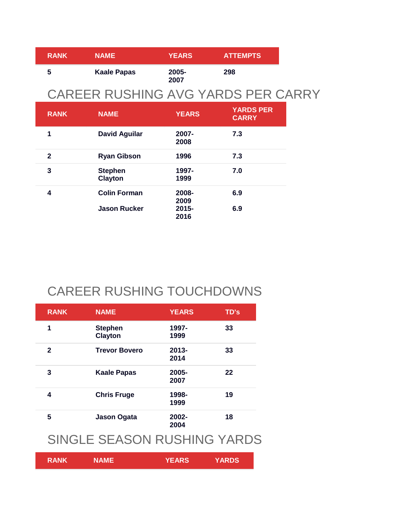| <b>RANK</b> | <b>NAME</b>        | <b>YEARS</b>     | <b>ATTEMPTS</b> |
|-------------|--------------------|------------------|-----------------|
| 5           | <b>Kaale Papas</b> | $2005 -$<br>2007 | 298             |

#### CAREER RUSHING AVG YARDS PER CARRY

| <b>RANK</b>  | <b>NAME</b>                      | <b>YEARS</b>     | <b>YARDS PER</b><br><b>CARRY</b> |
|--------------|----------------------------------|------------------|----------------------------------|
| 1            | <b>David Aguilar</b>             | $2007 -$<br>2008 | 7.3                              |
| $\mathbf{2}$ | <b>Ryan Gibson</b>               | 1996             | 7.3                              |
| 3            | <b>Stephen</b><br><b>Clayton</b> | 1997-<br>1999    | 7.0                              |
| 4            | <b>Colin Forman</b>              | 2008-<br>2009    | 6.9                              |
|              | <b>Jason Rucker</b>              | 2015-<br>2016    | 6.9                              |

## CAREER RUSHING TOUCHDOWNS

| <b>RANK</b>  | <b>NAME</b>                      | <b>YEARS</b>     | <b>TD's</b> |
|--------------|----------------------------------|------------------|-------------|
| 1            | <b>Stephen</b><br><b>Clayton</b> | 1997-<br>1999    | 33          |
| $\mathbf{2}$ | <b>Trevor Bovero</b>             | $2013 -$<br>2014 | 33          |
| 3            | <b>Kaale Papas</b>               | 2005-<br>2007    | 22          |
| 4            | <b>Chris Fruge</b>               | 1998-<br>1999    | 19          |
| 5            | <b>Jason Ogata</b>               | 2002-<br>2004    | 18          |

#### SINGLE SEASON RUSHING YARDS

| <b>RANK</b> | <b>NAME</b> | <b>YEARS</b> | <b>YARDS</b> |
|-------------|-------------|--------------|--------------|
|-------------|-------------|--------------|--------------|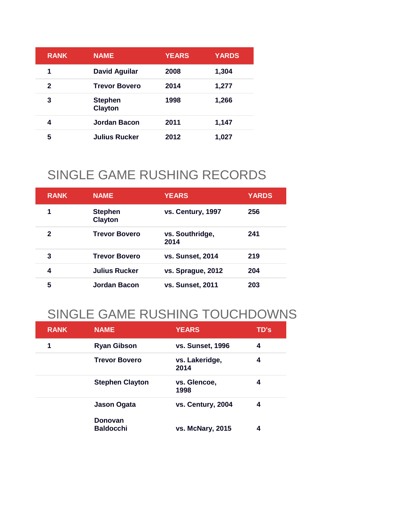| <b>RANK</b> | <b>NAME</b>                      | <b>YEARS</b> | <b>YARDS</b> |
|-------------|----------------------------------|--------------|--------------|
| 1           | <b>David Aguilar</b>             | 2008         | 1,304        |
| 2           | <b>Trevor Bovero</b>             | 2014         | 1,277        |
| 3           | <b>Stephen</b><br><b>Clayton</b> | 1998         | 1,266        |
| 4           | Jordan Bacon                     | 2011         | 1,147        |
| 5           | <b>Julius Rucker</b>             | 2012         | 1,027        |

#### SINGLE GAME RUSHING RECORDS

| <b>RANK</b> | <b>NAME</b>                      | <b>YEARS</b>            | <b>YARDS</b> |
|-------------|----------------------------------|-------------------------|--------------|
| 1           | <b>Stephen</b><br><b>Clayton</b> | vs. Century, 1997       | 256          |
| 2           | <b>Trevor Bovero</b>             | vs. Southridge,<br>2014 | 241          |
| 3           | <b>Trevor Bovero</b>             | <b>vs. Sunset, 2014</b> | 219          |
| 4           | <b>Julius Rucker</b>             | vs. Sprague, 2012       | 204          |
| 5           | Jordan Bacon                     | <b>vs. Sunset, 2011</b> | 203          |

## SINGLE GAME RUSHING TOUCHDOWNS

| <b>RANK</b> | <b>NAME</b>                        | <b>YEARS</b>            | TD's |
|-------------|------------------------------------|-------------------------|------|
| 1           | <b>Ryan Gibson</b>                 | <b>vs. Sunset, 1996</b> | 4    |
|             | <b>Trevor Bovero</b>               | vs. Lakeridge,<br>2014  | 4    |
|             | <b>Stephen Clayton</b>             | vs. Glencoe,<br>1998    | 4    |
|             | Jason Ogata                        | vs. Century, 2004       | 4    |
|             | <b>Donovan</b><br><b>Baldocchi</b> | vs. McNary, 2015        | 4    |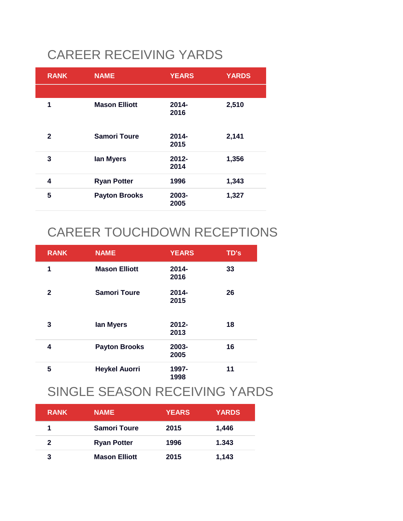# CAREER RECEIVING YARDS

| <b>RANK</b>  | <b>NAME</b>          | <b>YEARS</b>     | <b>YARDS</b> |
|--------------|----------------------|------------------|--------------|
|              |                      |                  |              |
| 1            | <b>Mason Elliott</b> | $2014 -$<br>2016 | 2,510        |
| $\mathbf{2}$ | <b>Samori Toure</b>  | $2014 -$<br>2015 | 2,141        |
| 3            | lan Myers            | $2012 -$<br>2014 | 1,356        |
| 4            | <b>Ryan Potter</b>   | 1996             | 1,343        |
| 5            | <b>Payton Brooks</b> | 2003-<br>2005    | 1,327        |

## CAREER TOUCHDOWN RECEPTIONS

| <b>RANK</b>  | <b>NAME</b>          | <b>YEARS</b>     | TD's |
|--------------|----------------------|------------------|------|
| 1            | <b>Mason Elliott</b> | $2014 -$<br>2016 | 33   |
| $\mathbf{2}$ | <b>Samori Toure</b>  | $2014 -$<br>2015 | 26   |
| 3            | lan Myers            | $2012 -$<br>2013 | 18   |
| 4            | <b>Payton Brooks</b> | 2003-<br>2005    | 16   |
| 5            | <b>Heykel Auorri</b> | 1997-<br>1998    | 11   |

## SINGLE SEASON RECEIVING YARDS

| <b>RANK</b> | <b>NAME</b>          | <b>YEARS</b> | <b>YARDS</b> |
|-------------|----------------------|--------------|--------------|
|             | <b>Samori Toure</b>  | 2015         | 1,446        |
| 2           | <b>Ryan Potter</b>   | 1996         | 1.343        |
| 3           | <b>Mason Elliott</b> | 2015         | 1,143        |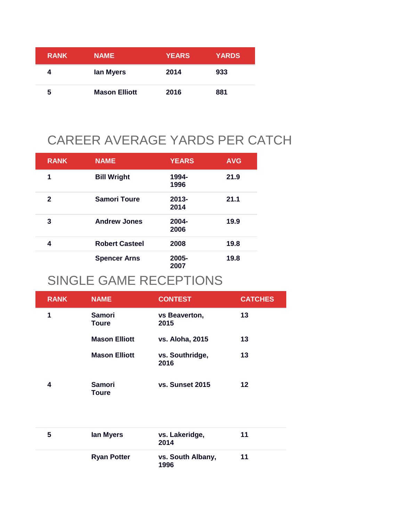| <b>RANK</b> | <b>NAME</b>          | <b>YEARS</b> | <b>YARDS</b> |
|-------------|----------------------|--------------|--------------|
|             | lan Myers            | 2014         | 933          |
| 5           | <b>Mason Elliott</b> | 2016         | 881          |

# CAREER AVERAGE YARDS PER CATCH

| <b>RANK</b>  | <b>NAME</b>           | <b>YEARS</b>     | <b>AVG</b> |
|--------------|-----------------------|------------------|------------|
| 1            | <b>Bill Wright</b>    | 1994-<br>1996    | 21.9       |
| $\mathbf{2}$ | <b>Samori Toure</b>   | $2013 -$<br>2014 | 21.1       |
| 3            | <b>Andrew Jones</b>   | 2004-<br>2006    | 19.9       |
| 4            | <b>Robert Casteel</b> | 2008             | 19.8       |
|              | <b>Spencer Arns</b>   | 2005-<br>2007    | 19.8       |

#### SINGLE GAME RECEPTIONS

| <b>RANK</b> | <b>NAME</b>            | <b>CONTEST</b>          | <b>CATCHES</b> |
|-------------|------------------------|-------------------------|----------------|
| 1           | Samori<br><b>Toure</b> | vs Beaverton,<br>2015   | 13             |
|             | <b>Mason Elliott</b>   | vs. Aloha, 2015         | 13             |
|             | <b>Mason Elliott</b>   | vs. Southridge,<br>2016 | 13             |
| 4           | Samori<br>Toure        | vs. Sunset 2015         | 12             |

| 5 | lan Myers          | vs. Lakeridge,<br>2014    | 11 |
|---|--------------------|---------------------------|----|
|   | <b>Ryan Potter</b> | vs. South Albany,<br>1996 | 11 |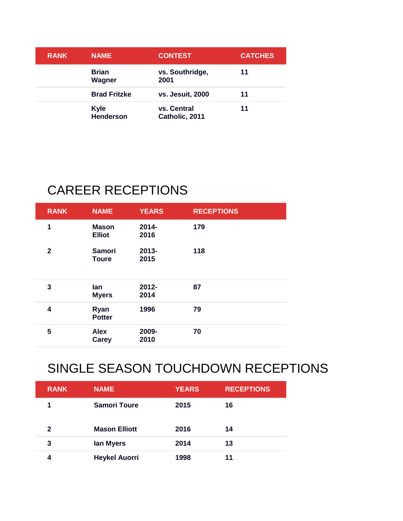| <b>RANK</b> | <b>NAME</b>              | <b>CONTEST</b>                | <b>CATCHES</b> |
|-------------|--------------------------|-------------------------------|----------------|
|             | <b>Brian</b><br>Wagner   | vs. Southridge,<br>2001       | 11             |
|             | <b>Brad Fritzke</b>      | vs. Jesuit, 2000              | 11             |
|             | <b>Kyle</b><br>Henderson | vs. Central<br>Catholic, 2011 | 11             |

## CAREER RECEPTIONS

| <b>RANK</b>  | <b>NAME</b>                   | <b>YEARS</b>     | <b>RECEPTIONS</b> |  |
|--------------|-------------------------------|------------------|-------------------|--|
| 1            | <b>Mason</b><br><b>Elliot</b> | 2014-<br>2016    | 179               |  |
| $\mathbf{2}$ | <b>Samori</b><br><b>Toure</b> | 2013-<br>2015    | 118               |  |
| 3            | lan<br><b>Myers</b>           | $2012 -$<br>2014 | 87                |  |
| 4            | Ryan<br><b>Potter</b>         | 1996             | 79                |  |
| 5            | <b>Alex</b><br>Carey          | 2009-<br>2010    | 70                |  |

## SINGLE SEASON TOUCHDOWN RECEPTIONS

| <b>RANK</b> | <b>NAME</b>          | <b>YEARS</b> | <b>RECEPTIONS</b> |
|-------------|----------------------|--------------|-------------------|
|             | <b>Samori Toure</b>  | 2015         | 16                |
| 2           | <b>Mason Elliott</b> | 2016         | 14                |
| 3           | lan Myers            | 2014         | 13                |
|             | <b>Heykel Auorri</b> | 1998         | 11                |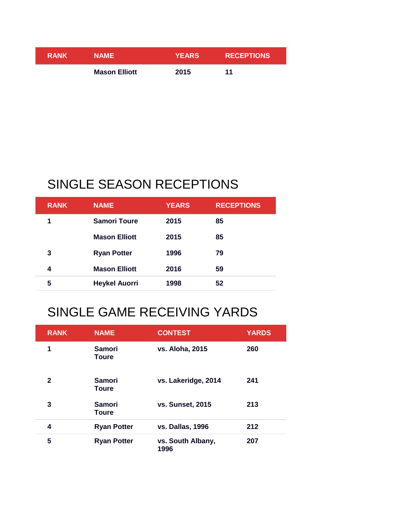| <b>RANK</b> | <b>NAME</b>          | <b>YEARS</b> | <b>RECEPTIONS</b> |
|-------------|----------------------|--------------|-------------------|
|             | <b>Mason Elliott</b> | 2015         | -11               |

## SINGLE SEASON RECEPTIONS

| <b>RANK</b> | <b>NAME</b>          | <b>YEARS</b> | <b>RECEPTIONS</b> |
|-------------|----------------------|--------------|-------------------|
| 1           | <b>Samori Toure</b>  | 2015         | 85                |
|             | <b>Mason Elliott</b> | 2015         | 85                |
| 3           | <b>Ryan Potter</b>   | 1996         | 79                |
| 4           | <b>Mason Elliott</b> | 2016         | 59                |
| 5           | <b>Heykel Auorri</b> | 1998         | 52                |

## SINGLE GAME RECEIVING YARDS

| <b>RANK</b>  | <b>NAME</b>                   | <b>CONTEST</b>            | <b>YARDS</b> |
|--------------|-------------------------------|---------------------------|--------------|
| 1            | <b>Samori</b><br><b>Toure</b> | vs. Aloha, 2015           | 260          |
| $\mathbf{2}$ | Samori<br><b>Toure</b>        | vs. Lakeridge, 2014       | 241          |
| 3            | <b>Samori</b><br><b>Toure</b> | <b>vs. Sunset, 2015</b>   | 213          |
| 4            | <b>Ryan Potter</b>            | <b>vs. Dallas, 1996</b>   | 212          |
| 5            | <b>Ryan Potter</b>            | vs. South Albany,<br>1996 | 207          |